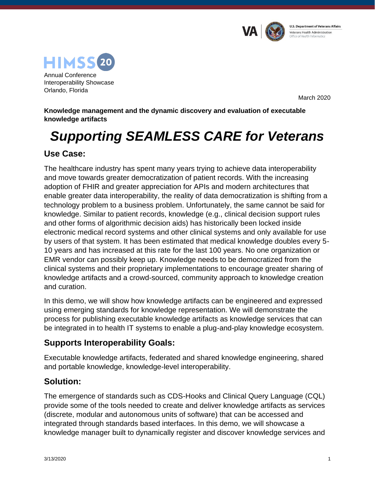



March 2020

**Knowledge management and the dynamic discovery and evaluation of executable knowledge artifacts**

# *Supporting SEAMLESS CARE for Veterans*

# **Use Case:**

The healthcare industry has spent many years trying to achieve data interoperability and move towards greater democratization of patient records. With the increasing adoption of FHIR and greater appreciation for APIs and modern architectures that enable greater data interoperability, the reality of data democratization is shifting from a technology problem to a business problem. Unfortunately, the same cannot be said for knowledge. Similar to patient records, knowledge (e.g., clinical decision support rules and other forms of algorithmic decision aids) has historically been locked inside electronic medical record systems and other clinical systems and only available for use by users of that system. It has been estimated that medical knowledge doubles every 5- 10 years and has increased at this rate for the last 100 years. No one organization or EMR vendor can possibly keep up. Knowledge needs to be democratized from the clinical systems and their proprietary implementations to encourage greater sharing of knowledge artifacts and a crowd-sourced, community approach to knowledge creation and curation.

In this demo, we will show how knowledge artifacts can be engineered and expressed using emerging standards for knowledge representation. We will demonstrate the process for publishing executable knowledge artifacts as knowledge services that can be integrated in to health IT systems to enable a plug-and-play knowledge ecosystem.

## **Supports Interoperability Goals:**

Executable knowledge artifacts, federated and shared knowledge engineering, shared and portable knowledge, knowledge-level interoperability.

## **Solution:**

The emergence of standards such as CDS-Hooks and Clinical Query Language (CQL) provide some of the tools needed to create and deliver knowledge artifacts as services (discrete, modular and autonomous units of software) that can be accessed and integrated through standards based interfaces. In this demo, we will showcase a knowledge manager built to dynamically register and discover knowledge services and